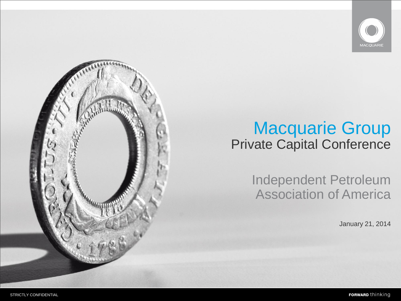

## Macquarie Group Private Capital Conference

Independent Petroleum Association of America

January 21, 2014

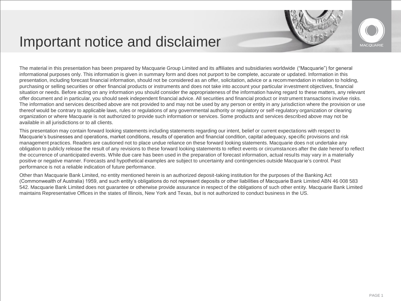## Important notice and disclaimer



The material in this presentation has been prepared by Macquarie Group Limited and its affiliates and subsidiaries worldwide ("Macquarie") for general informational purposes only. This information is given in summary form and does not purport to be complete, accurate or updated. Information in this presentation, including forecast financial information, should not be considered as an offer, solicitation, advice or a recommendation in relation to holding, purchasing or selling securities or other financial products or instruments and does not take into account your particular investment objectives, financial situation or needs. Before acting on any information you should consider the appropriateness of the information having regard to these matters, any relevant offer document and in particular, you should seek independent financial advice. All securities and financial product or instrument transactions involve risks. The information and services described above are not provided to and may not be used by any person or entity in any jurisdiction where the provision or use thereof would be contrary to applicable laws, rules or regulations of any governmental authority or regulatory or self-regulatory organization or clearing organization or where Macquarie is not authorized to provide such information or services. Some products and services described above may not be available in all jurisdictions or to all clients.

This presentation may contain forward looking statements including statements regarding our intent, belief or current expectations with respect to Macquarie's businesses and operations, market conditions, results of operation and financial condition, capital adequacy, specific provisions and risk management practices. Readers are cautioned not to place undue reliance on these forward looking statements. Macquarie does not undertake any obligation to publicly release the result of any revisions to these forward looking statements to reflect events or circumstances after the date hereof to reflect the occurrence of unanticipated events. While due care has been used in the preparation of forecast information, actual results may vary in a materially positive or negative manner. Forecasts and hypothetical examples are subject to uncertainty and contingencies outside Macquarie's control. Past performance is not a reliable indication of future performance.

Other than Macquarie Bank Limited, no entity mentioned herein is an authorized deposit-taking institution for the purposes of the Banking Act (Commonwealth of Australia) 1959, and such entity's obligations do not represent deposits or other liabilities of Macquarie Bank Limited ABN 46 008 583 542. Macquarie Bank Limited does not guarantee or otherwise provide assurance in respect of the obligations of such other entity. Macquarie Bank Limited maintains Representative Offices in the states of Illinois, New York and Texas, but is not authorized to conduct business in the US.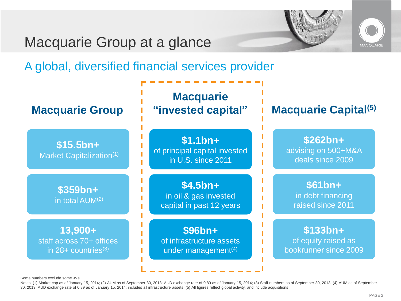## Macquarie Group at a glance





A global, diversified financial services provider



Some numbers exclude some JVs

Notes: (1) Market cap as of January 15, 2014; (2) AUM as of September 30, 2013; AUD exchange rate of 0.89 as of January 15, 2014; (3) Staff numbers as of September 30, 2013; (4) AUM as of September 30, 2013; (4) AUM as of 30, 2013; AUD exchange rate of 0.89 as of January 15, 2014; includes all infrastructure assets; (5) All figures reflect global activity, and include acquisitions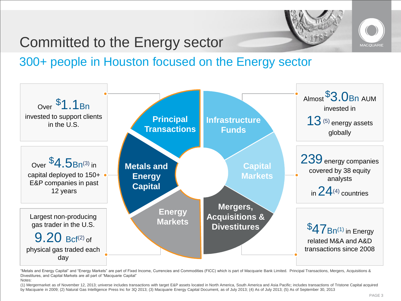

## Committed to the Energy sector

## 300+ people in Houston focused on the Energy sector



"Metals and Energy Capital" and "Energy Markets" are part of Fixed Income, Currencies and Commodities (FICC) which is part of Macquarie Bank Limited. Principal Transactions, Mergers, Acquisitions & Divestitures, and Capital Markets are all part of "Macquarie Capital" Notes:

(1) Mergermarket as of November 12, 2013; universe includes transactions with target E&P assets located in North America, South America and Asia Pacific; includes transactions of Tristone Capital acquired by Macquarie in 2009; (2) Natural Gas Intelligence Press Inc for 3Q 2013; (3) Macquarie Energy Capital Document, as of July 2013; (4) As of July 2013; (5) As of September 30, 2013

**MACOUARI**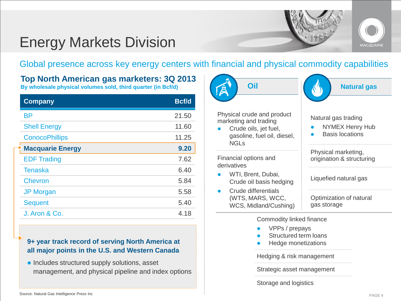

## Energy Markets Division

Global presence across key energy centers with financial and physical commodity capabilities

**Top North American gas marketers: 3Q 2013 By wholesale physical volumes sold, third quarter (in Bcf/d)** 

| <b>Company</b>          | <b>Bcf/d</b> |
|-------------------------|--------------|
| <b>BP</b>               | 21.50        |
| <b>Shell Energy</b>     | 11.60        |
| <b>ConocoPhillips</b>   | 11.25        |
| <b>Macquarie Energy</b> | 9.20         |
| <b>EDF Trading</b>      | 7.62         |
| <b>Tenaska</b>          | 6.40         |
| <b>Chevron</b>          | 5.84         |
| <b>JP Morgan</b>        | 5.58         |
| <b>Sequent</b>          | 5.40         |
| J. Aron & Co.           | 4.18         |

### **9+ year track record of serving North America at all major points in the U.S. and Western Canada**

 $\bullet$  Includes structured supply solutions, asset management, and physical pipeline and index options

| Oil                                                                                                                        | <b>Natural gas</b>                                                      |
|----------------------------------------------------------------------------------------------------------------------------|-------------------------------------------------------------------------|
| Physical crude and product<br>marketing and trading<br>Crude oils, jet fuel,<br>gasoline, fuel oil, diesel,<br><b>NGLs</b> | Natural gas trading<br><b>NYMEX Henry Hub</b><br><b>Basis locations</b> |
| Financial options and<br>derivatives                                                                                       | Physical marketing,<br>origination & structuring                        |
| WTI, Brent, Dubai,<br>Crude oil basis hedging                                                                              | Liquefied natural gas                                                   |
| Crude differentials<br>(WTS, MARS, WCC,<br>WCS, Midland/Cushing)                                                           | Optimization of natural<br>gas storage                                  |
| Commodity linked finance<br>VPPs / prepays<br>Structured term loans<br>Hedge monetizations                                 |                                                                         |
| Hedging & risk management                                                                                                  |                                                                         |

Strategic asset management

Storage and logistics

### Source: Natural Gas Intelligence Press Inc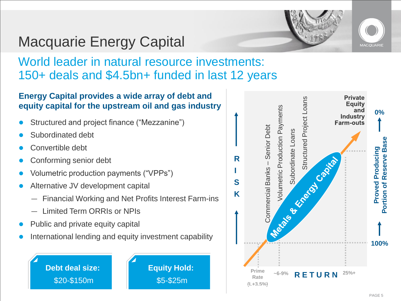

# Macquarie Energy Capital

## World leader in natural resource investments: 150+ deals and \$4.5bn+ funded in last 12 years

## **Energy Capital provides a wide array of debt and equity capital for the upstream oil and gas industry**

- Structured and project finance ("Mezzanine")
- Subordinated debt
- Convertible debt
- Conforming senior debt
- Volumetric production payments ("VPPs")
- Alternative JV development capital
	- Financial Working and Net Profits Interest Farm-ins
	- Limited Term ORRIs or NPIs
- Public and private equity capital
- International lending and equity investment capability

**Debt deal size:** \$20-\$150m

**Equity Hold:**  \$5-\$25m

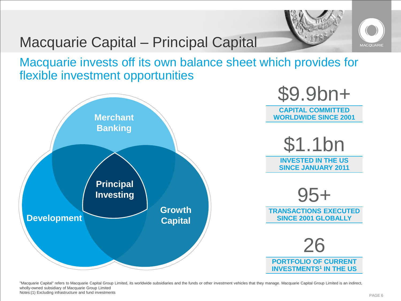

## Macquarie Capital – Principal Capital

Macquarie invests off its own balance sheet which provides for flexible investment opportunities



"Macquarie Capital" refers to Macquarie Capital Group Limited, its worldwide subsidiaries and the funds or other investment vehicles that they manage. Macquarie Capital Group Limited is an indirect, wholly-owned subsidiary of Macquarie Group Limited Notes:(1) Excluding infrastructure and fund investments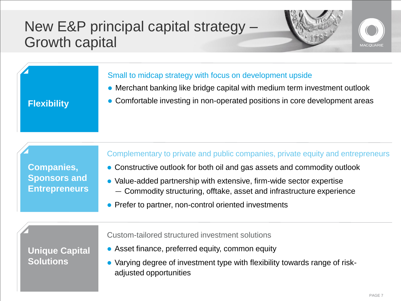## New E&P principal capital strategy – Growth capital





### Small to midcap strategy with focus on development upside

- Merchant banking like bridge capital with medium term investment outlook
- **Flexibility** Comfortable investing in non-operated positions in core development areas

**Companies, Sponsors and Entrepreneurs**

### Complementary to private and public companies, private equity and entrepreneurs

- Constructive outlook for both oil and gas assets and commodity outlook
- Value-added partnership with extensive, firm-wide sector expertise — Commodity structuring, offtake, asset and infrastructure experience
- Prefer to partner, non-control oriented investments

**Unique Capital Solutions**

Custom-tailored structured investment solutions

- Asset finance, preferred equity, common equity
- Varying degree of investment type with flexibility towards range of riskadjusted opportunities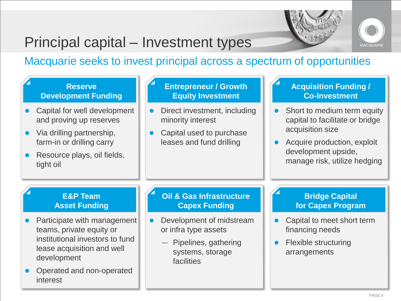

# Principal capital – Investment types

Macquarie seeks to invest principal across a spectrum of opportunities

### **Reserve Development Funding**

- Capital for well development and proving up reserves
- Via drilling partnership, farm-in or drilling carry
- Resource plays, oil fields, tight oil

### **Entrepreneur / Growth Equity Investment**

- Direct investment, including minority interest
- Capital used to purchase leases and fund drilling

### **Acquisition Funding / Co-Investment**

- Short to medium term equity capital to facilitate or bridge acquisition size
- Acquire production, exploit development upside, manage risk, utilize hedging

### **E&P Team Asset Funding**

- Participate with management teams, private equity or institutional investors to fund lease acquisition and well development
- Operated and non-operated interest

### **Oil & Gas Infrastructure Capex Funding**

- Development of midstream or infra type assets
	- Pipelines, gathering systems, storage facilities

### **Bridge Capital for Capex Program**

- Capital to meet short term financing needs
- Flexible structuring arrangements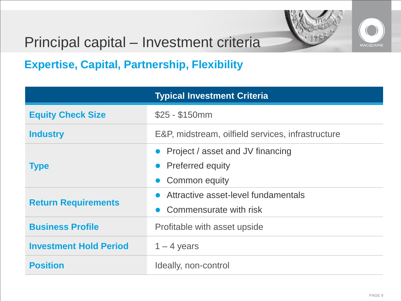



## Principal capital – Investment criteria

**Expertise, Capital, Partnership, Flexibility**

|                               | <b>Typical Investment Criteria</b>                                          |
|-------------------------------|-----------------------------------------------------------------------------|
| <b>Equity Check Size</b>      | $$25 - $150mm$                                                              |
| <b>Industry</b>               | E&P, midstream, oilfield services, infrastructure                           |
| <b>Type</b>                   | • Project / asset and JV financing<br>• Preferred equity<br>• Common equity |
| <b>Return Requirements</b>    | Attractive asset-level fundamentals<br>• Commensurate with risk             |
| <b>Business Profile</b>       | Profitable with asset upside                                                |
| <b>Investment Hold Period</b> | $1 - 4$ years                                                               |
| <b>Position</b>               | Ideally, non-control                                                        |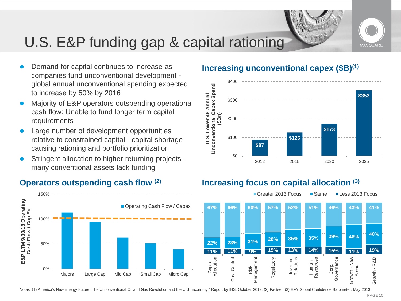

# U.S. E&P funding gap & capital rationing

- Demand for capital continues to increase as companies fund unconventional development global annual unconventional spending expected to increase by 50% by 2016
- Majority of E&P operators outspending operational cash flow: Unable to fund longer term capital requirements
- Large number of development opportunities relative to constrained capital - capital shortage causing rationing and portfolio prioritization
- Stringent allocation to higher returning projects many conventional assets lack funding



### **Increasing unconventional capex (\$B)(1)**



### **Operators outspending cash flow (2) Increasing focus on capital allocation (3)**



Notes: (1) America's New Energy Future: The Unconventional Oil and Gas Revolution and the U.S. Economy," Report by IHS, October 2012; (2) Factset; (3) E&Y Global Confidence Barometer, May 2013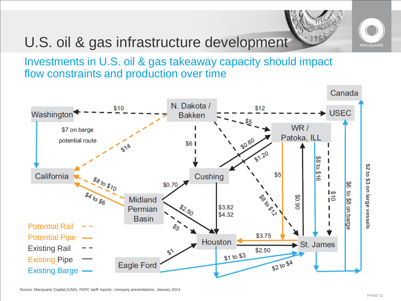# U.S. oil & gas infrastructure development





Investments in U.S. oil & gas takeaway capacity should impact flow constraints and production over time